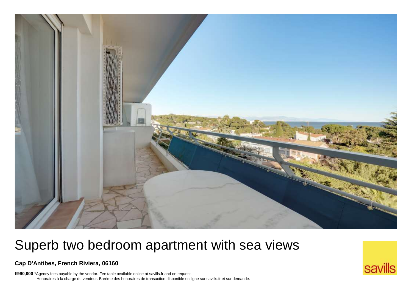

# Superb two bedroom apartment with sea views

# **Cap D'Antibes, French Riviera, 06160**

**€990,000** \*Agency fees payable by the vendor. Fee table available online at savills.fr and on request. Honoraires à la charge du vendeur. Barème des honoraires de transaction disponible en ligne sur savills.fr et sur demande.

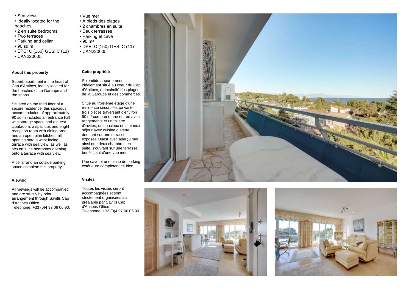- Sea views
- Ideally located for the beaches
- 2 en suite bedrooms
- Two terraces
- Parking and cellar
- $\cdot$  90 sq m
- EPC: C (150) GES: C (11)
- CAN220005

#### **About this property**

Superb apartment in the heart of Cap d'Antibes, ideally located for the beaches of La Garoupe and the shops.

Situated on the third floor of a secure residence, this spacious accommodation of approximately 90 sq m includes an entrance hall with storage space and a quest cloakroom, a spacious and bright reception room with dining area and an open plan kitchen, all opening onto a west facing terrace with sea view, as well as two en suite bedrooms opening onto a terrace with sea view.

A cellar and an outside parking space complete this property.

## **Viewing**

.

All viewings will be accompanied and are strictly by prior arrangement through Savills Cap d'Antibes Office. Telephone: +33 (0)4 97 06 06 90.

- Vue mer
- A pieds des plages
- 2 chambres en suite
- Deux terrasses
- Parking et cave
- $90 m<sup>2</sup>$
- DPE: C (150) GES: C (11)
- CAN220005
- **Cette propriété**

Splendide appartement idéalement situé au coeur du Cap d'Antibes, à proximité des plages de la Garoupe et des commerces.

Situé au troisième étage d'une résidence sécurisée, ce vaste trois pièces traversant d'environ 90 m² comprend une entrée avec rangements et un toilette d'invités, un spacieux et lumineux séjour avec cuisine ouverte donnant sur une terrasse exposée Ouest avec aperçu mer, ainsi que deux chambres en suite, s'ouvrant sur une terrasse, bénéficiant d'une vue mer.

Une cave et une place de parking extérieure complètent ce bien.

### **Visites**

Toutes les visites seront accompagnées et sont strictement organisées au préalable par Savills Cap d'Antibes Office. Telephone: +33 (0)4 97 06 06 90.





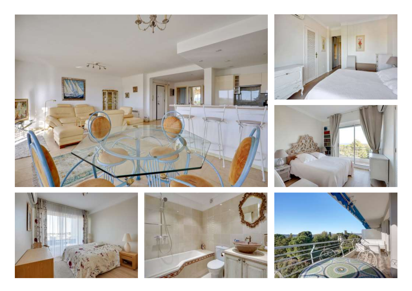